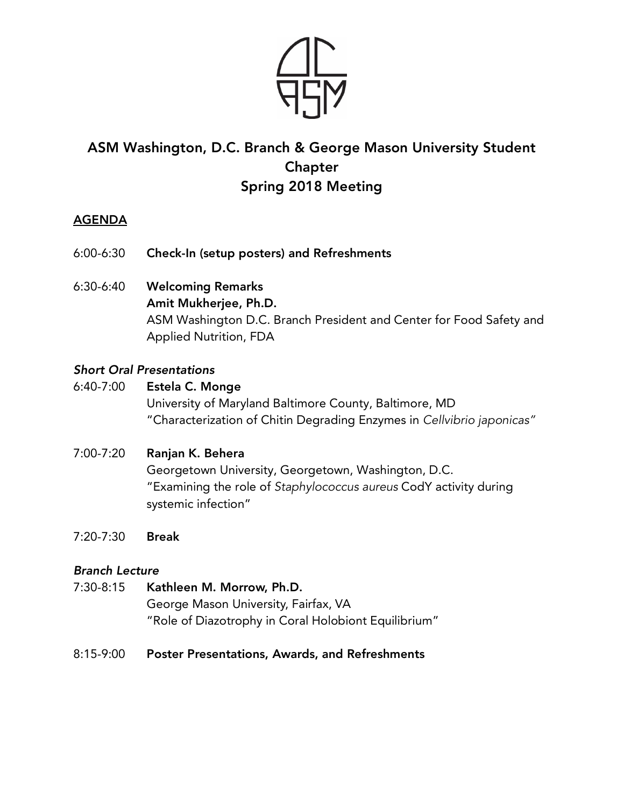

# ASM Washington, D.C. Branch & George Mason University Student Chapter Spring 2018 Meeting

## AGENDA

- 6:00-6:30 Check-In (setup posters) and Refreshments
- 6:30-6:40 Welcoming Remarks Amit Mukherjee, Ph.D. ASM Washington D.C. Branch President and Center for Food Safety and Applied Nutrition, FDA

### *Short Oral Presentations*

- 6:40-7:00 Estela C. Monge University of Maryland Baltimore County, Baltimore, MD "Characterization of Chitin Degrading Enzymes in *Cellvibrio japonicas"*
- 7:00-7:20 Ranjan K. Behera Georgetown University, Georgetown, Washington, D.C. "Examining the role of *Staphylococcus aureus* CodY activity during systemic infection"
- 7:20-7:30 Break

#### *Branch Lecture*

- 7:30-8:15 Kathleen M. Morrow, Ph.D. George Mason University, Fairfax, VA "Role of Diazotrophy in Coral Holobiont Equilibrium"
- 8:15-9:00 Poster Presentations, Awards, and Refreshments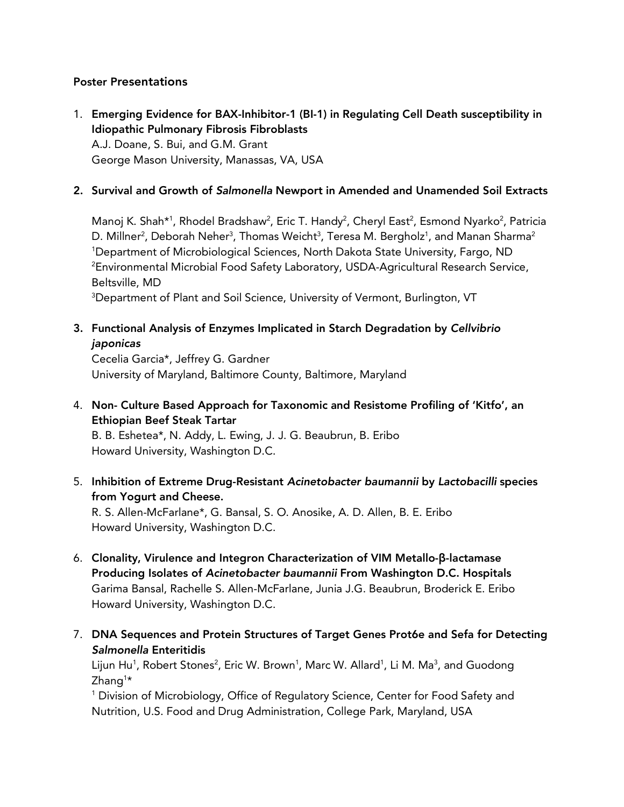#### Poster Presentations

1. Emerging Evidence for BAX-Inhibitor-1 (BI-1) in Regulating Cell Death susceptibility in Idiopathic Pulmonary Fibrosis Fibroblasts A.J. Doane, S. Bui, and G.M. Grant George Mason University, Manassas, VA, USA

#### 2. Survival and Growth of *Salmonella* Newport in Amended and Unamended Soil Extracts

Manoj K. Shah\*<sup>1</sup>, Rhodel Bradshaw<sup>2</sup>, Eric T. Handy<sup>2</sup>, Cheryl East<sup>2</sup>, Esmond Nyarko<sup>2</sup>, Patricia D. Millner<sup>2</sup>, Deborah Neher<sup>3</sup>, Thomas Weicht<sup>3</sup>, Teresa M. Bergholz<sup>1</sup>, and Manan Sharma<sup>2</sup> 1 Department of Microbiological Sciences, North Dakota State University, Fargo, ND 2 Environmental Microbial Food Safety Laboratory, USDA-Agricultural Research Service, Beltsville, MD

 $^3$ Department of Plant and Soil Science, University of Vermont, Burlington, VT  $\,$ 

#### 3. Functional Analysis of Enzymes Implicated in Starch Degradation by *Cellvibrio japonicas*

Cecelia Garcia\*, Jeffrey G. Gardner University of Maryland, Baltimore County, Baltimore, Maryland

4. Non- Culture Based Approach for Taxonomic and Resistome Profiling of 'Kitfo', an Ethiopian Beef Steak Tartar

B. B. Eshetea\*, N. Addy, L. Ewing, J. J. G. Beaubrun, B. Eribo Howard University, Washington D.C.

5. Inhibition of Extreme Drug-Resistant *Acinetobacter baumannii* by *Lactobacilli* species from Yogurt and Cheese.

R. S. Allen-McFarlane\*, G. Bansal, S. O. Anosike, A. D. Allen, B. E. Eribo Howard University, Washington D.C.

- 6. Clonality, Virulence and Integron Characterization of VIM Metallo-β-lactamase Producing Isolates of *Acinetobacter baumannii* From Washington D.C. Hospitals Garima Bansal, Rachelle S. Allen-McFarlane, Junia J.G. Beaubrun, Broderick E. Eribo Howard University, Washington D.C.
- 7. DNA Sequences and Protein Structures of Target Genes Prot6e and Sefa for Detecting *Salmonella* Enteritidis

Lijun Hu<sup>1</sup>, Robert Stones<sup>2</sup>, Eric W. Brown<sup>1</sup>, Marc W. Allard<sup>1</sup>, Li M. Ma<sup>3</sup>, and Guodong Zhang<sup>1</sup>\*

<sup>1</sup> Division of Microbiology, Office of Regulatory Science, Center for Food Safety and Nutrition, U.S. Food and Drug Administration, College Park, Maryland, USA